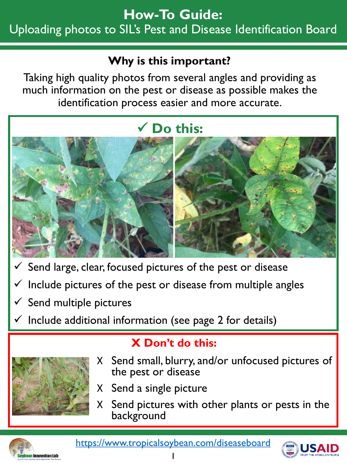# **How-To Guide:** Uploading photos to SIL's Pest and Disease Identification Board

### **Why is this important?**

Taking high quality photos from several angles and providing as much information on the pest or disease as possible makes the identification process easier and more accurate.

# **Do this:**



- $\checkmark$  Send large, clear, focused pictures of the pest or disease
- Include pictures of the pest or disease from multiple angles
- $\checkmark$  Send multiple pictures
- $\checkmark$  Include additional information (see page 2 for details)



# **X Don't do this:**

- X Send small, blurry, and/or unfocused pictures of the pest or disease
- X Send a single picture
- X Send pictures with other plants or pests in the background



<https://www.tropicalsoybean.com/diseaseboard>